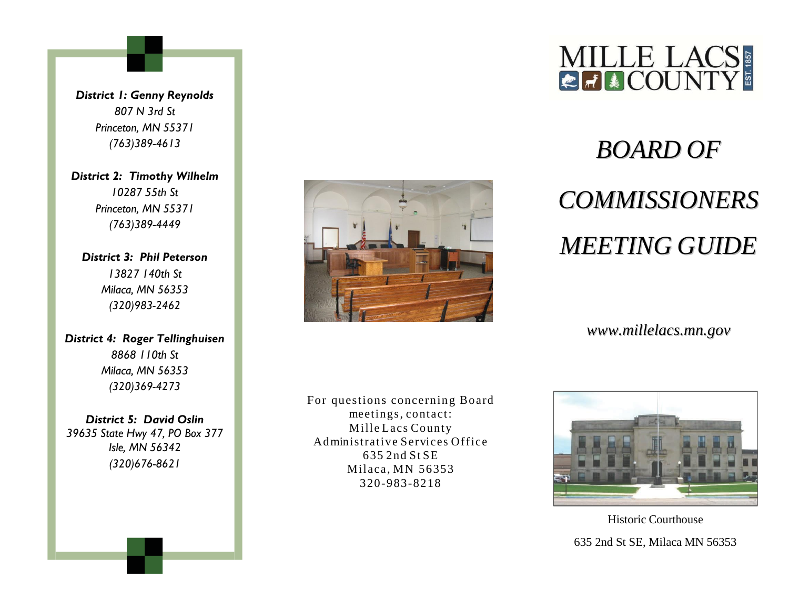*District 1: Genny Reynolds 807 N 3rd St Princeton, MN 55371 (763)389-4613*

*District 2: Timothy Wilhelm 10287 55th St Princeton, MN 55371 (763)389-4449*

*District 3: Phil Peterson 13827 140th St Milaca, MN 56353 (320)983-2462*

*District 4: Roger Tellinghuisen 8868 110th St Milaca, MN 56353 (320)369-4273*

*District 5: David Oslin 39635 State Hwy 47, PO Box 377 Isle, MN 56342 (320)676-8621*



For questions concerning Board meetings, contact: Mille Lacs County Administrative Services Office 635 2nd St SE Milaca, MN 56353 320-983-8218



# *BOARD OF COMMISSIONERS MEETING GUIDE*

*www.millelacs.mn.gov*



Historic Courthouse 635 2nd St SE, Milaca MN 56353